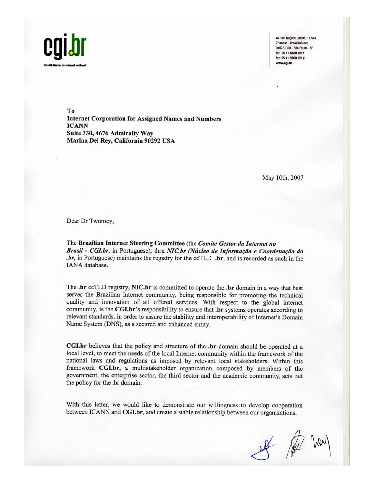

Av. das Nações Unidas, 11.541 7º andar - Rrooklin Novo 04578-000 - São Paulo - SP tel: 55 11 5509 3511 fax: 55 11 5509 3512 .cal.br

To **Internet Corporation for Assigned Names and Numbers ICANN** Suite 330, 4676 Admiralty Way Marina Del Rey, California 90292 USA

May 10th, 2007

Dear Dr Twomey,

The Brazilian Internet Steering Committee (the Comite Gestor da Internet no Brasil - CGI.br, in Portuguese), thru NIC.br (Núcleo de Informação e Coordenação do .br, in Portuguese) maintains the registry for the ccTLD .br, and is recorded as such in the IANA database.

The .br ccTLD registry, NIC.br is committed to operate the .br domain in a way that best serves the Brazilian Internet community, being responsible for promoting the technical quality and innovation of all offered services. With respect to the global internet community, is the CGI.br's responsibility to ensure that .br systems operates according to relevant standards, in order to assure the stability and interoperability of Internet's Domain Name System (DNS), as a secured and enhanced entity.

**CGI.br** believes that the policy and structure of the **.br** domain should be operated at a local level, to meet the needs of the local Internet community within the framework of the national laws and regulations as imposed by relevant local stakeholders. Within this framework CGI.br, a multistakeholder organization composed by members of the government, the enterprise sector, the third sector and the academic community, sets out the policy for the .br domain.

With this letter, we would like to demonstrate our willingness to develop cooperation between ICANN and CGI.br, and create a stable relationship between our organizations.

of the har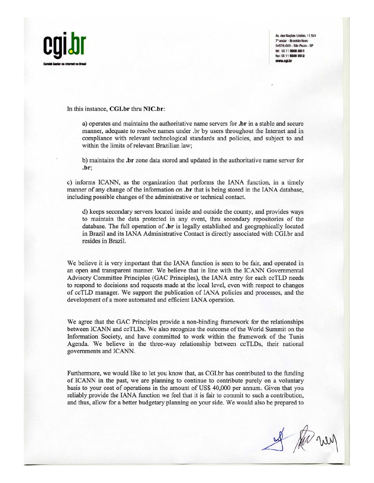

Av. das Nações Unidas, 11.541 7° andar - Brooklin Novo 04578-000 - São Paulo - SP tel: 55 11 5509 3511 fax: 55 11 5509 3512 w cai br

## In this instance, CGI.br thru NIC.br:

a) operates and maintains the authoritative name servers for **.br** in a stable and secure manner, adequate to resolve names under .br by users throughout the Internet and in compliance with relevant technological standards and policies, and subject to and within the limits of relevant Brazilian law;

b) maintains the **.br** zone data stored and updated in the authoritative name server for .br:

c) informs ICANN, as the organization that performs the IANA function, in a timely manner of any change of the information on **b** that is being stored in the IANA database, including possible changes of the administrative or technical contact.

d) keeps secondary servers located inside and outside the county, and provides ways to maintain the data protected in any event, thru secondary repositories of the database. The full operation of **.br** is legally established and geographically located in Brazil and its IANA Administrative Contact is directly associated with CGI.br and resides in Brazil.

We believe it is very important that the IANA function is seen to be fair, and operated in an open and transparent manner. We believe that in line with the ICANN Governmental Advisory Committee Principles (GAC Principles), the IANA entry for each ccTLD needs to respond to decisions and requests made at the local level, even with respect to changes of ccTLD manager. We support the publication of IANA policies and processes, and the development of a more automated and efficient IANA operation.

We agree that the GAC Principles provide a non-binding framework for the relationships between ICANN and ccTLDs. We also recognize the outcome of the World Summit on the Information Society, and have committed to work within the framework of the Tunis Agenda. We believe in the three-way relationship between ccTLDs, their national governments and ICANN.

Furthermore, we would like to let you know that, as CGI.br has contributed to the funding of ICANN in the past, we are planning to continue to contribute purely on a voluntary basis to your cost of operations in the amount of US\$ 40,000 per annum. Given that you reliably provide the IANA function we feel that it is fair to commit to such a contribution, and thus, allow for a better budgetary planning on your side. We would also be prepared to

I the new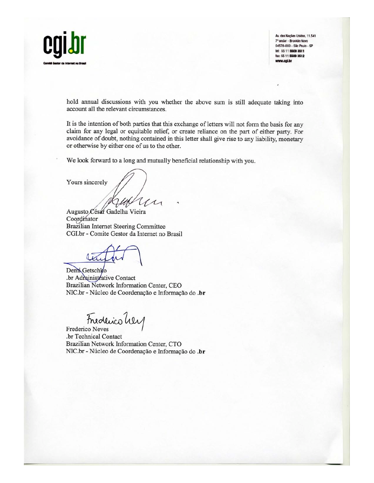

Av. das Nações Unidas, 11.541 7° andar - Brooklin Novo 04578-000 - São Paulo - SP tel: 55 11 5509 3511 fax: 55 11 5509 3512 w.cgl.br

hold annual discussions with you whether the above sum is still adequate taking into account all the relevant circumstances.

It is the intention of both parties that this exchange of letters will not form the basis for any claim for any legal or equitable relief, or create reliance on the part of either party. For avoidance of doubt, nothing contained in this letter shall give rise to any liability, monetary or otherwise by either one of us to the other.

We look forward to a long and mutually beneficial relationship with you.

Yours sincerely

Augusto César Gadelha Vieira Coordinator Brazilian Internet Steering Committee CGI.br - Comite Gestor da Internet no Brasil

Demi Getschko .br Administrative Contact Brazilian Network Information Center, CEO NIC.br - Núcleo de Coordenação e Informação do .br

Frederico hey

Frederico Neves .br Technical Contact Brazilian Network Information Center, CTO NIC.br - Núcleo de Coordenação e Informação do .br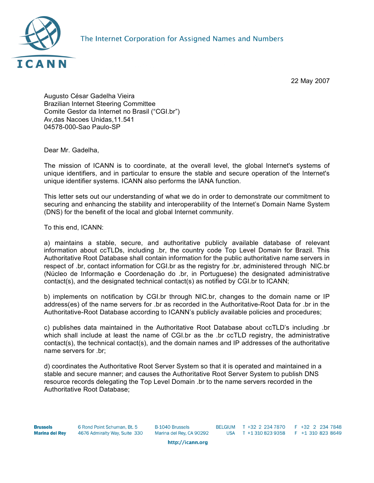

22 May 2007

Augusto César Gadelha Vieira Brazilian Internet Steering Committee Comite Gestor da Internet no Brasil ("CGI.br") Av,das Nacoes Unidas,11.541 04578-000-Sao Paulo-SP

Dear Mr. Gadelha,

The mission of ICANN is to coordinate, at the overall level, the global Internet's systems of unique identifiers, and in particular to ensure the stable and secure operation of the Internet's unique identifier systems. ICANN also performs the IANA function.

This letter sets out our understanding of what we do in order to demonstrate our commitment to securing and enhancing the stability and interoperability of the Internet's Domain Name System (DNS) for the benefit of the local and global Internet community.

To this end, ICANN:

a) maintains a stable, secure, and authoritative publicly available database of relevant information about ccTLDs, including .br, the country code Top Level Domain for Brazil. This Authoritative Root Database shall contain information for the public authoritative name servers in respect of .br, contact information for CGI.br as the registry for .br, administered through NIC.br (Núcleo de Informação e Coordenação do .br, in Portuguese) the designated administrative contact(s), and the designated technical contact(s) as notified by CGI.br to ICANN;

b) implements on notification by CGI.br through NIC.br, changes to the domain name or IP address(es) of the name servers for .br as recorded in the Authoritative-Root Data for .br in the Authoritative-Root Database according to ICANN's publicly available policies and procedures;

c) publishes data maintained in the Authoritative Root Database about ccTLD's including .br which shall include at least the name of CGI.br as the .br ccTLD registry, the administrative contact(s), the technical contact(s), and the domain names and IP addresses of the authoritative name servers for .br;

d) coordinates the Authoritative Root Server System so that it is operated and maintained in a stable and secure manner; and causes the Authoritative Root Server System to publish DNS resource records delegating the Top Level Domain .br to the name servers recorded in the Authoritative Root Database;

http://icann.org